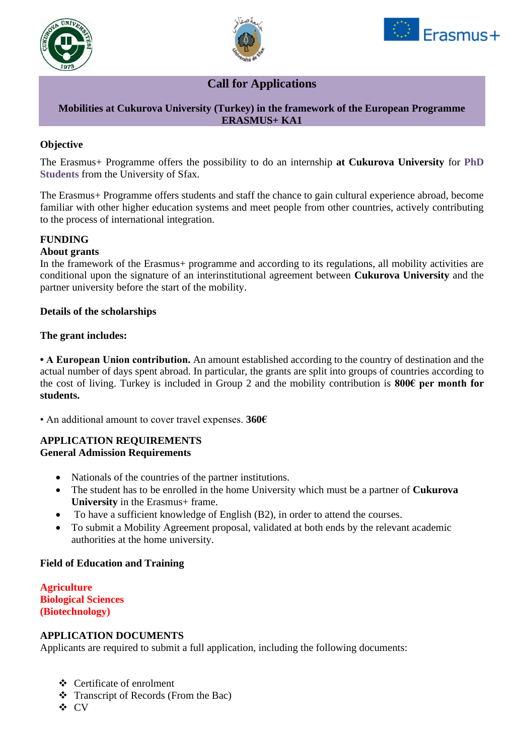





# **Call for Applications**

#### **Mobilities at Cukurova University (Turkey) in the framework of the European Programme ERASMUS+ KA1**

## **Objective**

The Erasmus+ Programme offers the possibility to do an internship **at Cukurova University** for **PhD Students** from the University of Sfax.

The Erasmus+ Programme offers students and staff the chance to gain cultural experience abroad, become familiar with other higher education systems and meet people from other countries, actively contributing to the process of international integration.

#### **FUNDING**

#### **About grants**

In the framework of the Erasmus+ programme and according to its regulations, all mobility activities are conditional upon the signature of an interinstitutional agreement between **Cukurova University** and the partner university before the start of the mobility.

#### **Details of the scholarships**

#### **The grant includes:**

**• A European Union contribution.** An amount established according to the country of destination and the actual number of days spent abroad. In particular, the grants are split into groups of countries according to the cost of living. Turkey is included in Group 2 and the mobility contribution is **800€ per month for students.**

• An additional amount to cover travel expenses. **360€**

#### **APPLICATION REQUIREMENTS General Admission Requirements**

- Nationals of the countries of the partner institutions.
- The student has to be enrolled in the home University which must be a partner of **Cukurova University** in the Erasmus+ frame.
- To have a sufficient knowledge of English (B2), in order to attend the courses.
- To submit a Mobility Agreement proposal, validated at both ends by the relevant academic authorities at the home university.

#### **Field of Education and Training**

**Agriculture Biological Sciences (Biotechnology)**

#### **APPLICATION DOCUMENTS**

Applicants are required to submit a full application, including the following documents:

- ❖ Certificate of enrolment
- ❖ Transcript of Records (From the Bac)
- ❖ CV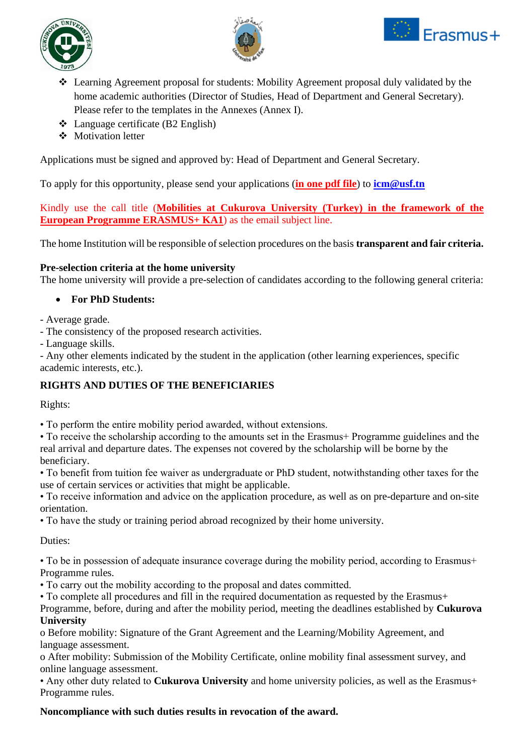





- ❖ Learning Agreement proposal for students: Mobility Agreement proposal duly validated by the home academic authorities (Director of Studies, Head of Department and General Secretary). Please refer to the templates in the Annexes (Annex I).
- ❖ Language certificate (B2 English)
- ❖ Motivation letter

Applications must be signed and approved by: Head of Department and General Secretary.

To apply for this opportunity, please send your applications (**in one pdf file**) to **[icm@usf.tn](mailto:icm@usf.tn)**

Kindly use the call title (**Mobilities at Cukurova University (Turkey) in the framework of the European Programme ERASMUS+ KA1**) as the email subject line.

The home Institution will be responsible of selection procedures on the basis **transparent and fair criteria.**

## **Pre-selection criteria at the home university**

The home university will provide a pre-selection of candidates according to the following general criteria:

## • **For PhD Students:**

- Average grade.
- The consistency of the proposed research activities.
- Language skills.

- Any other elements indicated by the student in the application (other learning experiences, specific academic interests, etc.).

## **RIGHTS AND DUTIES OF THE BENEFICIARIES**

Rights:

• To perform the entire mobility period awarded, without extensions.

• To receive the scholarship according to the amounts set in the Erasmus+ Programme guidelines and the real arrival and departure dates. The expenses not covered by the scholarship will be borne by the beneficiary.

• To benefit from tuition fee waiver as undergraduate or PhD student, notwithstanding other taxes for the use of certain services or activities that might be applicable.

• To receive information and advice on the application procedure, as well as on pre-departure and on-site orientation.

• To have the study or training period abroad recognized by their home university.

Duties:

• To be in possession of adequate insurance coverage during the mobility period, according to Erasmus+ Programme rules.

• To carry out the mobility according to the proposal and dates committed.

• To complete all procedures and fill in the required documentation as requested by the Erasmus+

Programme, before, during and after the mobility period, meeting the deadlines established by **Cukurova University**

o Before mobility: Signature of the Grant Agreement and the Learning/Mobility Agreement, and language assessment.

o After mobility: Submission of the Mobility Certificate, online mobility final assessment survey, and online language assessment.

• Any other duty related to **Cukurova University** and home university policies, as well as the Erasmus+ Programme rules.

## **Noncompliance with such duties results in revocation of the award.**